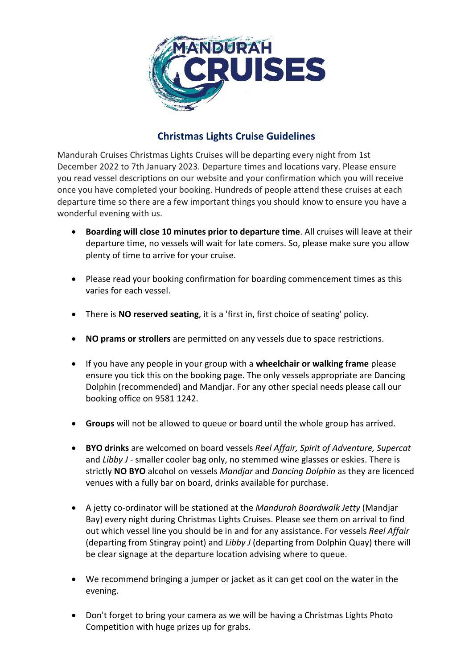

## **Christmas Lights Cruise Guidelines**

Mandurah Cruises Christmas Lights Cruises will be departing every night from 1st December 2022 to 7th January 2023. Departure times and locations vary. Please ensure you read vessel descriptions on our website and your confirmation which you will receive once you have completed your booking. Hundreds of people attend these cruises at each departure time so there are a few important things you should know to ensure you have a wonderful evening with us.

- **Boarding will close 10 minutes prior to departure time**. All cruises will leave at their departure time, no vessels will wait for late comers. So, please make sure you allow plenty of time to arrive for your cruise.
- Please read your booking confirmation for boarding commencement times as this varies for each vessel.
- There is **NO reserved seating**, it is a 'first in, first choice of seating' policy.
- **NO prams or strollers** are permitted on any vessels due to space restrictions.
- If you have any people in your group with a **wheelchair or walking frame** please ensure you tick this on the booking page. The only vessels appropriate are Dancing Dolphin (recommended) and Mandjar. For any other special needs please call our booking office on 9581 1242.
- **Groups** will not be allowed to queue or board until the whole group has arrived.
- **BYO drinks** are welcomed on board vessels *Reel Affair, Spirit of Adventure, Supercat* and *Libby J* - smaller cooler bag only, no stemmed wine glasses or eskies. There is strictly **NO BYO** alcohol on vessels *Mandjar* and *Dancing Dolphin* as they are licenced venues with a fully bar on board, drinks available for purchase.
- A jetty co-ordinator will be stationed at the *Mandurah Boardwalk Jetty* (Mandjar Bay) every night during Christmas Lights Cruises. Please see them on arrival to find out which vessel line you should be in and for any assistance. For vessels *Reel Affair* (departing from Stingray point) and *Libby J* (departing from Dolphin Quay) there will be clear signage at the departure location advising where to queue.
- We recommend bringing a jumper or jacket as it can get cool on the water in the evening.
- Don't forget to bring your camera as we will be having a Christmas Lights Photo Competition with huge prizes up for grabs.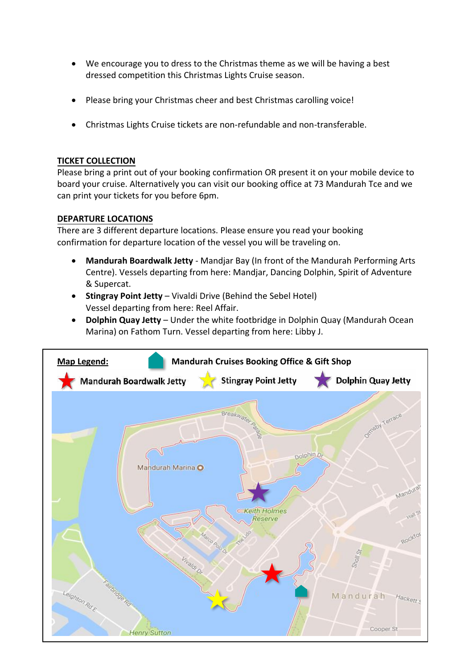- We encourage you to dress to the Christmas theme as we will be having a best dressed competition this Christmas Lights Cruise season.
- Please bring your Christmas cheer and best Christmas carolling voice!
- Christmas Lights Cruise tickets are non-refundable and non-transferable.

## **TICKET COLLECTION**

Please bring a print out of your booking confirmation OR present it on your mobile device to board your cruise. Alternatively you can visit our booking office at 73 Mandurah Tce and we can print your tickets for you before 6pm.

## **DEPARTURE LOCATIONS**

There are 3 different departure locations. Please ensure you read your booking confirmation for departure location of the vessel you will be traveling on.

- **Mandurah Boardwalk Jetty** Mandjar Bay (In front of the Mandurah Performing Arts Centre). Vessels departing from here: Mandjar, Dancing Dolphin, Spirit of Adventure & Supercat.
- **Stingray Point Jetty** Vivaldi Drive (Behind the Sebel Hotel) Vessel departing from here: Reel Affair.
- **Dolphin Quay Jetty** Under the white footbridge in Dolphin Quay (Mandurah Ocean Marina) on Fathom Turn. Vessel departing from here: Libby J.